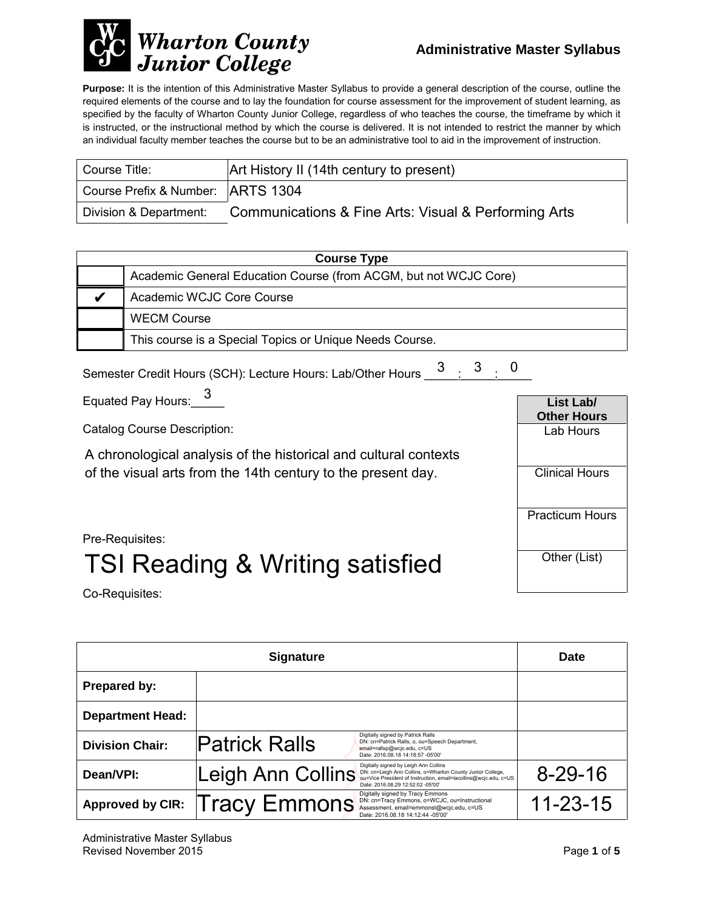

**Purpose:** It is the intention of this Administrative Master Syllabus to provide a general description of the course, outline the required elements of the course and to lay the foundation for course assessment for the improvement of student learning, as specified by the faculty of Wharton County Junior College, regardless of who teaches the course, the timeframe by which it is instructed, or the instructional method by which the course is delivered. It is not intended to restrict the manner by which an individual faculty member teaches the course but to be an administrative tool to aid in the improvement of instruction.

| Course Title:                       | Art History II (14th century to present)             |
|-------------------------------------|------------------------------------------------------|
| Course Prefix & Number:   ARTS 1304 |                                                      |
| Division & Department:              | Communications & Fine Arts: Visual & Performing Arts |

| <b>Course Type</b> |                                                                  |  |
|--------------------|------------------------------------------------------------------|--|
|                    | Academic General Education Course (from ACGM, but not WCJC Core) |  |
|                    | Academic WCJC Core Course                                        |  |
|                    | <b>WECM Course</b>                                               |  |
|                    | This course is a Special Topics or Unique Needs Course.          |  |

| <sup>2</sup> mester Credit Hours (SCH): Lecture Hours: Lab/Other Hours 3 3 0 |  |  |  |
|------------------------------------------------------------------------------|--|--|--|
|                                                                              |  |  |  |

Equated Pay Hours:  $\frac{3}{2}$ 

Catalog Course Description:

A chronological analysis of the historical and cultural contexts of the visual arts from the 14th century to the present day.



Pre-Requisites:

# TSI Reading & Writing satisfied

Co-Requisites:

|                         | <b>Signature</b>                                                                                                                                                                                                                  | <b>Date</b>    |
|-------------------------|-----------------------------------------------------------------------------------------------------------------------------------------------------------------------------------------------------------------------------------|----------------|
| <b>Prepared by:</b>     |                                                                                                                                                                                                                                   |                |
| <b>Department Head:</b> |                                                                                                                                                                                                                                   |                |
| <b>Division Chair:</b>  | Digitally signed by Patrick Ralls<br><b>Patrick Ralls</b><br>DN: cn=Patrick Ralls, o, ou=Speech Department,<br>email=rallsp@wcjc.edu, c=US<br>Date: 2016.08.18 14:18:57 -05'00'                                                   |                |
| Dean/VPI:               | Digitally signed by Leigh Ann Collins<br>Leigh Ann Collins<br>DN: cn=Leigh Ann Collins, o=Wharton County Junior College,<br>ou=Vice President of Instruction, email=lacollins@wcjc.edu, c=US<br>Date: 2016.08.29 12:52:02 -05'00' | $8 - 29 - 16$  |
| <b>Approved by CIR:</b> | Digitally signed by Tracy Emmons<br>∣Tracy Emmons<br>DN: cn=Tracy Emmons, o=WCJC, ou=Instructional<br>Assessment, email=emmonst@wcjc.edu, c=US<br>Date: 2016.08.18 14:12:44 -05'00'                                               | $11 - 23 - 15$ |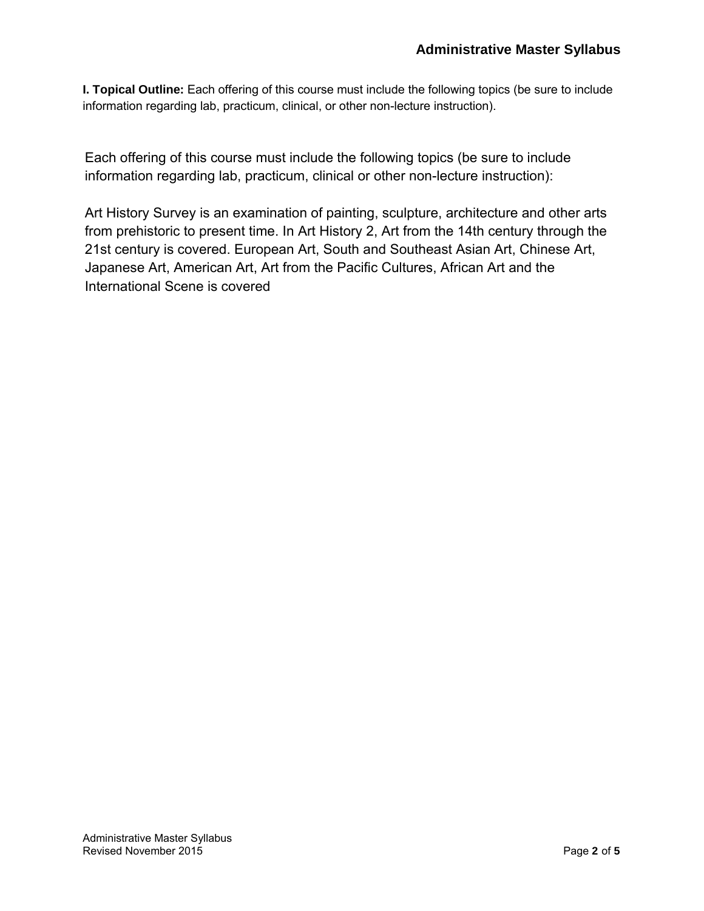**I. Topical Outline:** Each offering of this course must include the following topics (be sure to include information regarding lab, practicum, clinical, or other non-lecture instruction).

Each offering of this course must include the following topics (be sure to include information regarding lab, practicum, clinical or other non-lecture instruction):

Art History Survey is an examination of painting, sculpture, architecture and other arts from prehistoric to present time. In Art History 2, Art from the 14th century through the 21st century is covered. European Art, South and Southeast Asian Art, Chinese Art, Japanese Art, American Art, Art from the Pacific Cultures, African Art and the International Scene is covered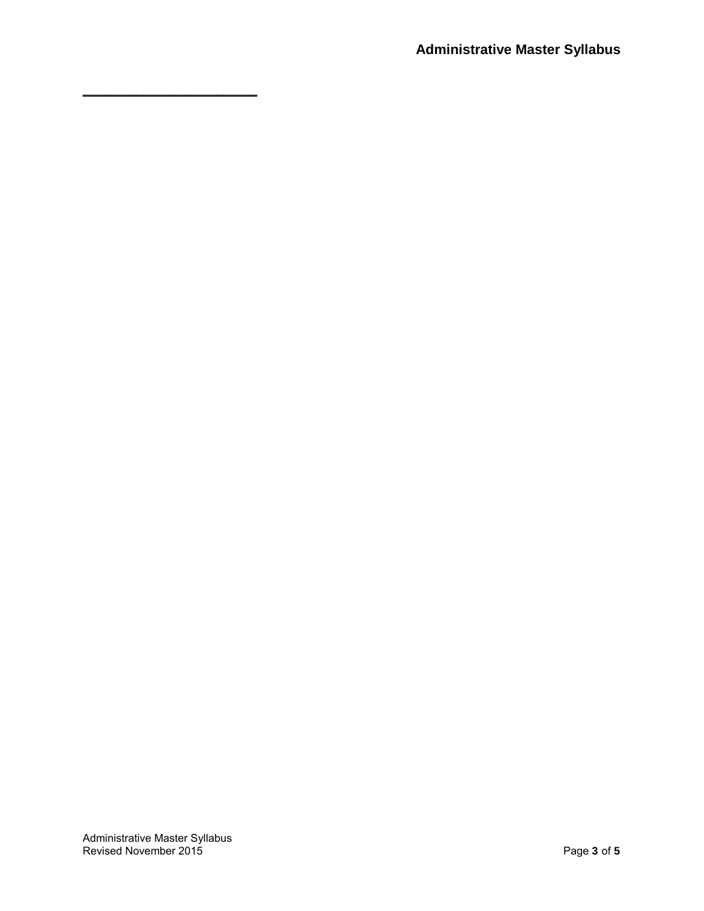**\_\_\_\_\_\_\_\_\_\_\_\_\_\_\_\_\_\_\_\_\_\_\_\_\_\_**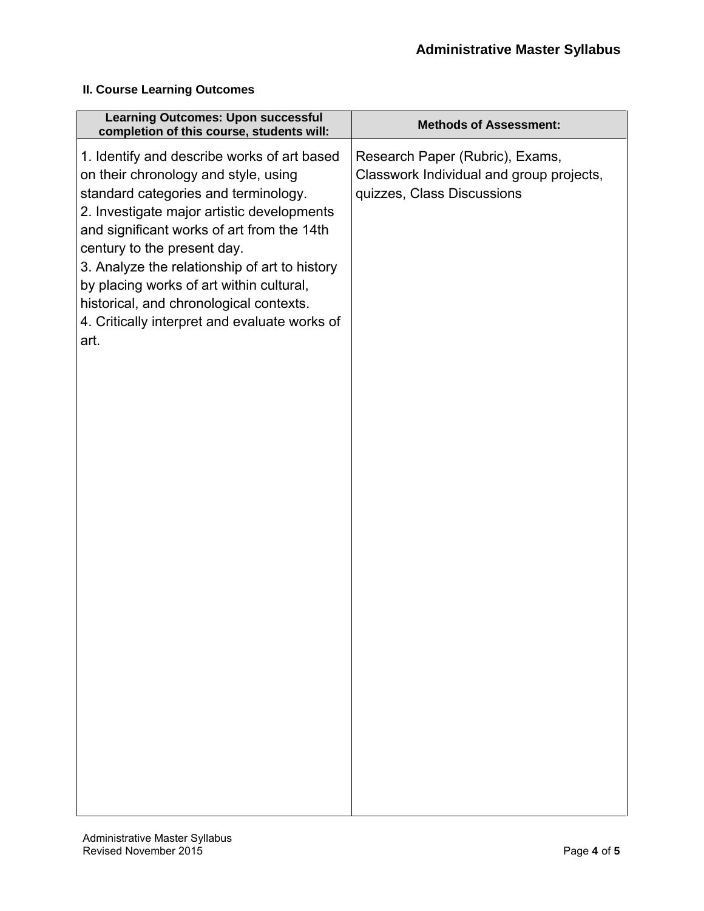#### **II. Course Learning Outcomes**

| <b>Learning Outcomes: Upon successful</b><br>completion of this course, students will:                                                                                                                                                                                                                                                                                                                                                                  | <b>Methods of Assessment:</b>                                                                             |
|---------------------------------------------------------------------------------------------------------------------------------------------------------------------------------------------------------------------------------------------------------------------------------------------------------------------------------------------------------------------------------------------------------------------------------------------------------|-----------------------------------------------------------------------------------------------------------|
| 1. Identify and describe works of art based<br>on their chronology and style, using<br>standard categories and terminology.<br>2. Investigate major artistic developments<br>and significant works of art from the 14th<br>century to the present day.<br>3. Analyze the relationship of art to history<br>by placing works of art within cultural,<br>historical, and chronological contexts.<br>4. Critically interpret and evaluate works of<br>art. | Research Paper (Rubric), Exams,<br>Classwork Individual and group projects,<br>quizzes, Class Discussions |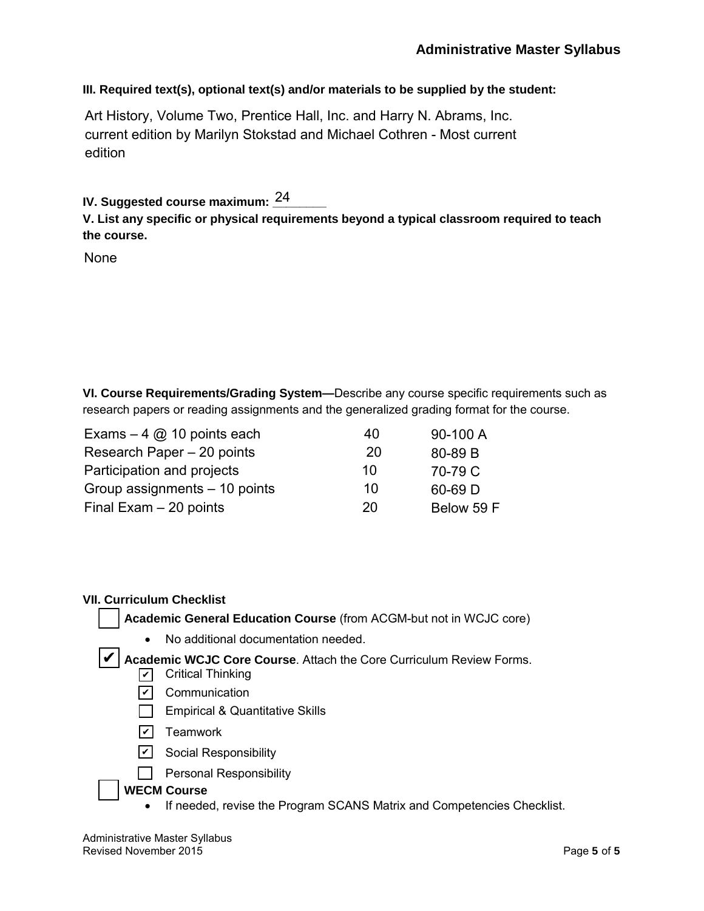**III. Required text(s), optional text(s) and/or materials to be supplied by the student:**

Art History, Volume Two, Prentice Hall, Inc. and Harry N. Abrams, Inc. current edition by Marilyn Stokstad and Michael Cothren - Most current edition

IV. Suggested course maximum: <u><sup>24</sup>\_\_\_\_\_</u> **V. List any specific or physical requirements beyond a typical classroom required to teach the course.**

None

**VI. Course Requirements/Grading System—**Describe any course specific requirements such as research papers or reading assignments and the generalized grading format for the course.

| Exams $-4$ @ 10 points each   | 40 | 90-100 A   |
|-------------------------------|----|------------|
| Research Paper - 20 points    | 20 | 80-89 B    |
| Participation and projects    | 10 | 70-79 C    |
| Group assignments - 10 points | 10 | 60-69 D    |
| Final Exam $-20$ points       | 20 | Below 59 F |

#### **VII. Curriculum Checklist**

**Academic General Education Course** (from ACGM-but not in WCJC core)

• No additional documentation needed.

✔ Academic WCJC Core Course. Attach the Core Curriculum Review Forms.

- ✔ Critical Thinking
- <u>✔</u> Communication
- $\Box$  Empirical & Quantitative Skills
- <u>✔</u>] Teamwork
- <u>✔</u> Social Responsibility
- $\Box$  Personal Responsibility

#### **WECM Course**

• If needed, revise the Program SCANS Matrix and Competencies Checklist.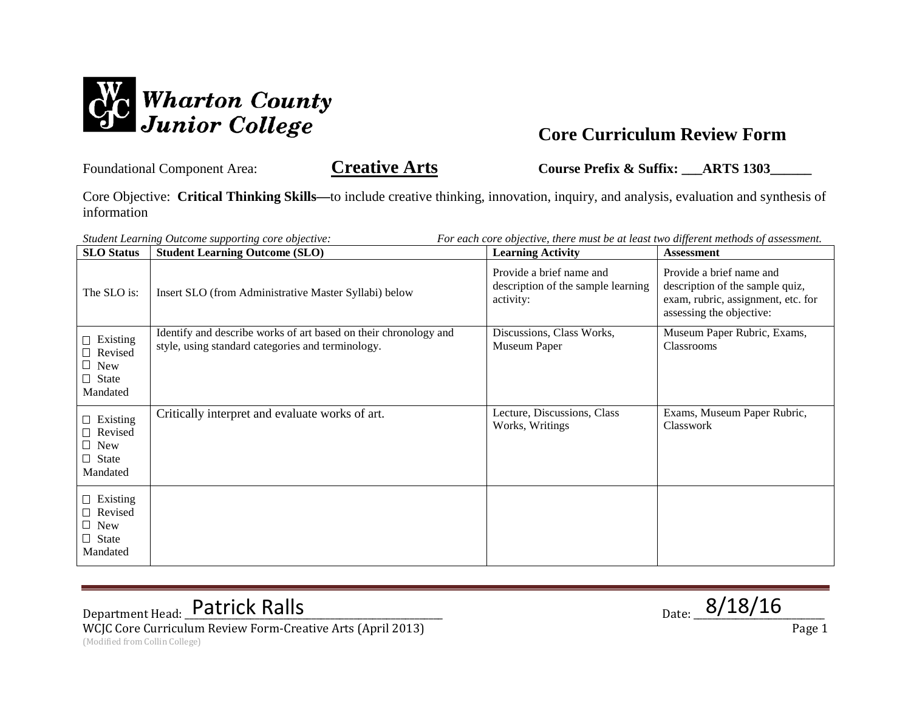

Foundational Component Area: **Creative Arts Course Prefix & Suffix: \_\_ARTS 1303\_** 

Core Objective: **Critical Thinking Skills—**to include creative thinking, innovation, inquiry, and analysis, evaluation and synthesis of information

| For each core objective, there must be at least two different methods of assessment.<br>Student Learning Outcome supporting core objective: |                                                                                                                       |                                                                             |                                                                                                                               |  |  |
|---------------------------------------------------------------------------------------------------------------------------------------------|-----------------------------------------------------------------------------------------------------------------------|-----------------------------------------------------------------------------|-------------------------------------------------------------------------------------------------------------------------------|--|--|
| <b>SLO</b> Status                                                                                                                           | <b>Student Learning Outcome (SLO)</b>                                                                                 | <b>Learning Activity</b>                                                    | <b>Assessment</b>                                                                                                             |  |  |
| The SLO is:                                                                                                                                 | Insert SLO (from Administrative Master Syllabi) below                                                                 | Provide a brief name and<br>description of the sample learning<br>activity: | Provide a brief name and<br>description of the sample quiz,<br>exam, rubric, assignment, etc. for<br>assessing the objective: |  |  |
| $\Box$ Existing<br>Revised<br>New<br>⊔<br>$\Box$ State<br>Mandated                                                                          | Identify and describe works of art based on their chronology and<br>style, using standard categories and terminology. | Discussions, Class Works,<br>Museum Paper                                   | Museum Paper Rubric, Exams,<br>Classrooms                                                                                     |  |  |
| $\Box$ Existing<br>Revised<br>$\Box$ New<br>$\Box$ State<br>Mandated                                                                        | Critically interpret and evaluate works of art.                                                                       | Lecture, Discussions, Class<br>Works, Writings                              | Exams, Museum Paper Rubric,<br>Classwork                                                                                      |  |  |
| $\Box$ Existing<br>$\Box$ Revised<br>$\Box$ New<br>$\Box$ State<br>Mandated                                                                 |                                                                                                                       |                                                                             |                                                                                                                               |  |  |

Department Head: Patrick Ralls<br>WCJC Core Curriculum Review Form-Creative Arts (April 2013) Date: 8/18/16 WCJC Core Curriculum Review Form-Creative Arts (April 2013) (Modified from Collin College)  $_{\text{Date:}}$  8/18/16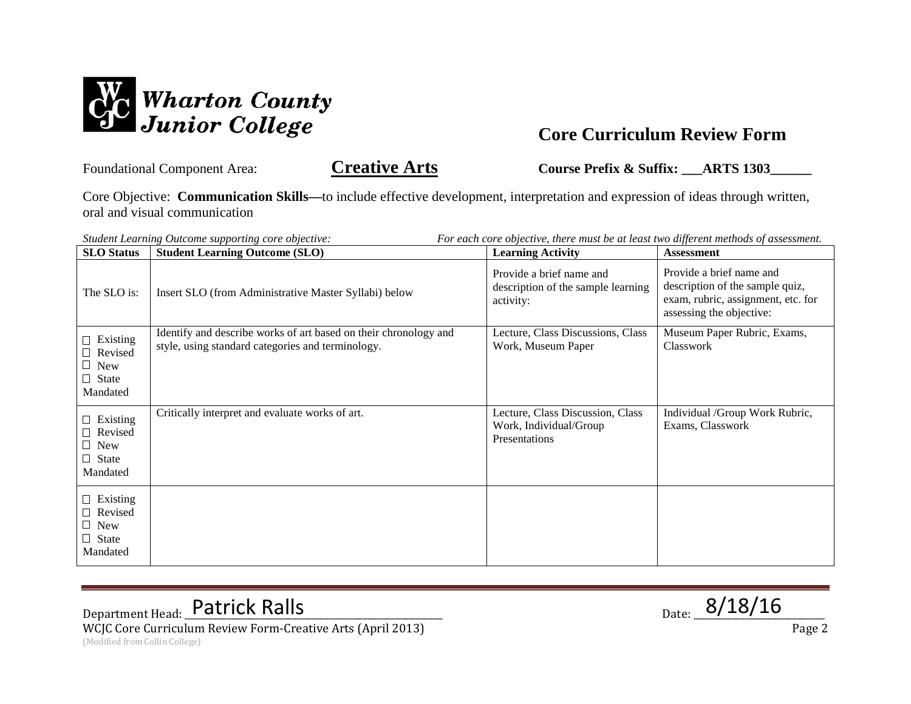

Foundational Component Area: **Creative Arts Course Prefix & Suffix: \_\_ARTS 1303\_\_\_\_\_** 

Core Objective: **Communication Skills—**to include effective development, interpretation and expression of ideas through written, oral and visual communication

| For each core objective, there must be at least two different methods of assessment.<br>Student Learning Outcome supporting core objective: |                                                                                                                       |                                                                             |                                                                                                                               |  |  |
|---------------------------------------------------------------------------------------------------------------------------------------------|-----------------------------------------------------------------------------------------------------------------------|-----------------------------------------------------------------------------|-------------------------------------------------------------------------------------------------------------------------------|--|--|
| <b>SLO</b> Status                                                                                                                           | <b>Student Learning Outcome (SLO)</b>                                                                                 | <b>Learning Activity</b>                                                    | <b>Assessment</b>                                                                                                             |  |  |
| The SLO is:                                                                                                                                 | Insert SLO (from Administrative Master Syllabi) below                                                                 | Provide a brief name and<br>description of the sample learning<br>activity: | Provide a brief name and<br>description of the sample quiz,<br>exam, rubric, assignment, etc. for<br>assessing the objective: |  |  |
| $\Box$ Existing<br>$\Box$ Revised<br>$\Box$ New<br>$\Box$ State<br>Mandated                                                                 | Identify and describe works of art based on their chronology and<br>style, using standard categories and terminology. | Lecture, Class Discussions, Class<br>Work, Museum Paper                     | Museum Paper Rubric, Exams,<br>Classwork                                                                                      |  |  |
| $\Box$ Existing<br>□ Revised<br>$\Box$ New<br>$\Box$ State<br>Mandated                                                                      | Critically interpret and evaluate works of art.                                                                       | Lecture, Class Discussion, Class<br>Work, Individual/Group<br>Presentations | Individual /Group Work Rubric,<br>Exams, Classwork                                                                            |  |  |
| $\Box$ Existing<br>□ Revised<br>$\Box$ New<br>$\Box$ State<br>Mandated                                                                      |                                                                                                                       |                                                                             |                                                                                                                               |  |  |

Department Head: Patrick Ralls<br>WCJC Core Curriculum Review Form-Creative Arts (April 2013) Date: 8/18/16 WCJC Core Curriculum Review Form-Creative Arts (April 2013) (Modified from Collin College)  $_{\text{Date:}}$  8/18/16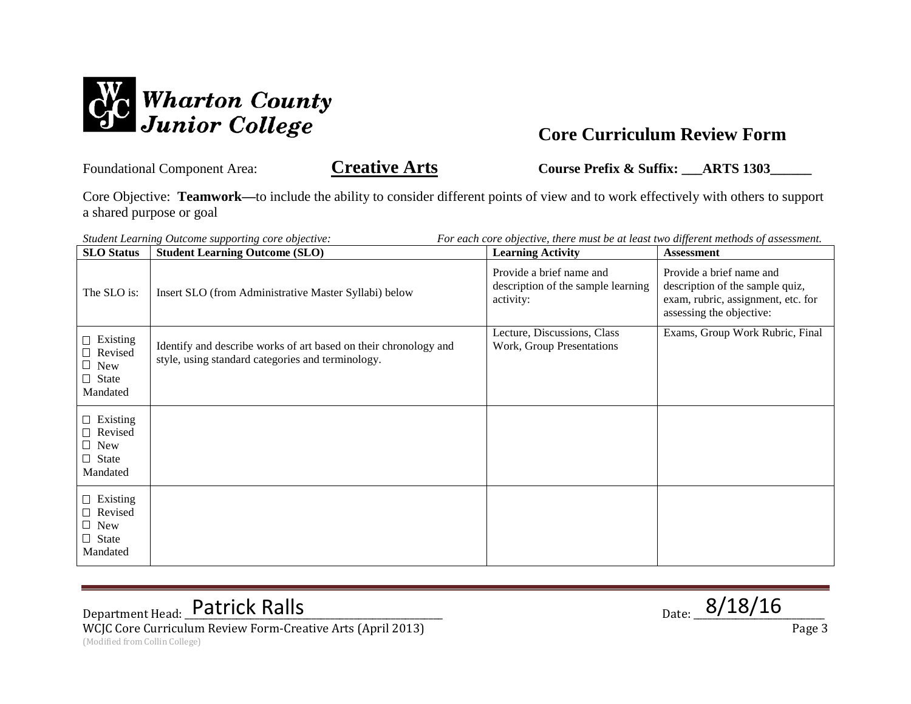

Foundational Component Area: **Creative Arts Course Prefix & Suffix: \_\_ARTS 1303\_\_\_\_\_** 

Core Objective: **Teamwork—**to include the ability to consider different points of view and to work effectively with others to support a shared purpose or goal

| Student Learning Outcome supporting core objective:<br>For each core objective, there must be at least two different methods of assessment. |                                                                                                                       |                                                                             |                                                                                                                               |  |  |
|---------------------------------------------------------------------------------------------------------------------------------------------|-----------------------------------------------------------------------------------------------------------------------|-----------------------------------------------------------------------------|-------------------------------------------------------------------------------------------------------------------------------|--|--|
| <b>SLO</b> Status                                                                                                                           | <b>Student Learning Outcome (SLO)</b>                                                                                 | <b>Learning Activity</b>                                                    | <b>Assessment</b>                                                                                                             |  |  |
| The SLO is:                                                                                                                                 | Insert SLO (from Administrative Master Syllabi) below                                                                 | Provide a brief name and<br>description of the sample learning<br>activity: | Provide a brief name and<br>description of the sample quiz,<br>exam, rubric, assignment, etc. for<br>assessing the objective: |  |  |
| $\Box$ Existing<br>$\Box$ Revised<br>$\Box$ New<br>$\Box$ State<br>Mandated                                                                 | Identify and describe works of art based on their chronology and<br>style, using standard categories and terminology. | Lecture, Discussions, Class<br>Work, Group Presentations                    | Exams, Group Work Rubric, Final                                                                                               |  |  |
| $\Box$ Existing<br>$\Box$ Revised<br>$\Box$ New<br>$\Box$ State<br>Mandated                                                                 |                                                                                                                       |                                                                             |                                                                                                                               |  |  |
| $\Box$ Existing<br>Revised<br>$\Box$ New<br>$\Box$ State<br>Mandated                                                                        |                                                                                                                       |                                                                             |                                                                                                                               |  |  |

Department Head: Patrick Ralls<br>WCJC Core Curriculum Review Form-Creative Arts (April 2013) Date: 8/18/16 WCJC Core Curriculum Review Form-Creative Arts (April 2013)  $_{\text{Date:}}$  8/18/16

(Modified from Collin College)